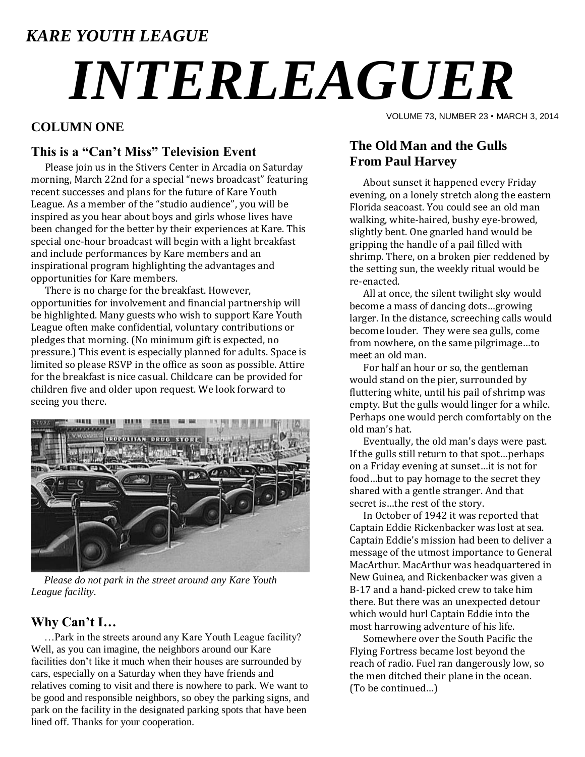# *KARE YOUTH LEAGUE*

# *INTERLEAGUER*

### **COLUMN ONE**

#### **This is a "Can't Miss" Television Event**

Please join us in the Stivers Center in Arcadia on Saturday morning, March 22nd for a special "news broadcast" featuring recent successes and plans for the future of Kare Youth League. As a member of the "studio audience", you will be inspired as you hear about boys and girls whose lives have been changed for the better by their experiences at Kare. This special one-hour broadcast will begin with a light breakfast and include performances by Kare members and an inspirational program highlighting the advantages and opportunities for Kare members.

There is no charge for the breakfast. However, opportunities for involvement and financial partnership will be highlighted. Many guests who wish to support Kare Youth League often make confidential, voluntary contributions or pledges that morning. (No minimum gift is expected, no pressure.) This event is especially planned for adults. Space is limited so please RSVP in the office as soon as possible. Attire for the breakfast is nice casual. Childcare can be provided for children five and older upon request. We look forward to seeing you there.



 *Please do not park in the street around any Kare Youth League facility.*

#### **Why Can't I…**

 …Park in the streets around any Kare Youth League facility? Well, as you can imagine, the neighbors around our Kare facilities don't like it much when their houses are surrounded by cars, especially on a Saturday when they have friends and relatives coming to visit and there is nowhere to park. We want to be good and responsible neighbors, so obey the parking signs, and park on the facility in the designated parking spots that have been lined off. Thanks for your cooperation.

VOLUME 73, NUMBER 23 • MARCH 3, 2014

## **The Old Man and the Gulls From Paul Harvey**

About sunset it happened every Friday evening, on a lonely stretch along the eastern Florida seacoast. You could see an old man walking, white-haired, bushy eye-browed, slightly bent. One gnarled hand would be gripping the handle of a pail filled with shrimp. There, on a broken pier reddened by the setting sun, the weekly ritual would be re-enacted.

All at once, the silent twilight sky would become a mass of dancing dots…growing larger. In the distance, screeching calls would become louder. They were sea gulls, come from nowhere, on the same pilgrimage…to meet an old man.

For half an hour or so, the gentleman would stand on the pier, surrounded by fluttering white, until his pail of shrimp was empty. But the gulls would linger for a while. Perhaps one would perch comfortably on the old man's hat.

Eventually, the old man's days were past. If the gulls still return to that spot…perhaps on a Friday evening at sunset…it is not for food…but to pay homage to the secret they shared with a gentle stranger. And that secret is…the rest of the story.

In October of 1942 it was reported that Captain Eddie Rickenbacker was lost at sea. Captain Eddie's mission had been to deliver a message of the utmost importance to General MacArthur. MacArthur was headquartered in New Guinea, and Rickenbacker was given a B-17 and a hand-picked crew to take him there. But there was an unexpected detour which would hurl Captain Eddie into the most harrowing adventure of his life.

Somewhere over the South Pacific the Flying Fortress became lost beyond the reach of radio. Fuel ran dangerously low, so the men ditched their plane in the ocean. (To be continued…)